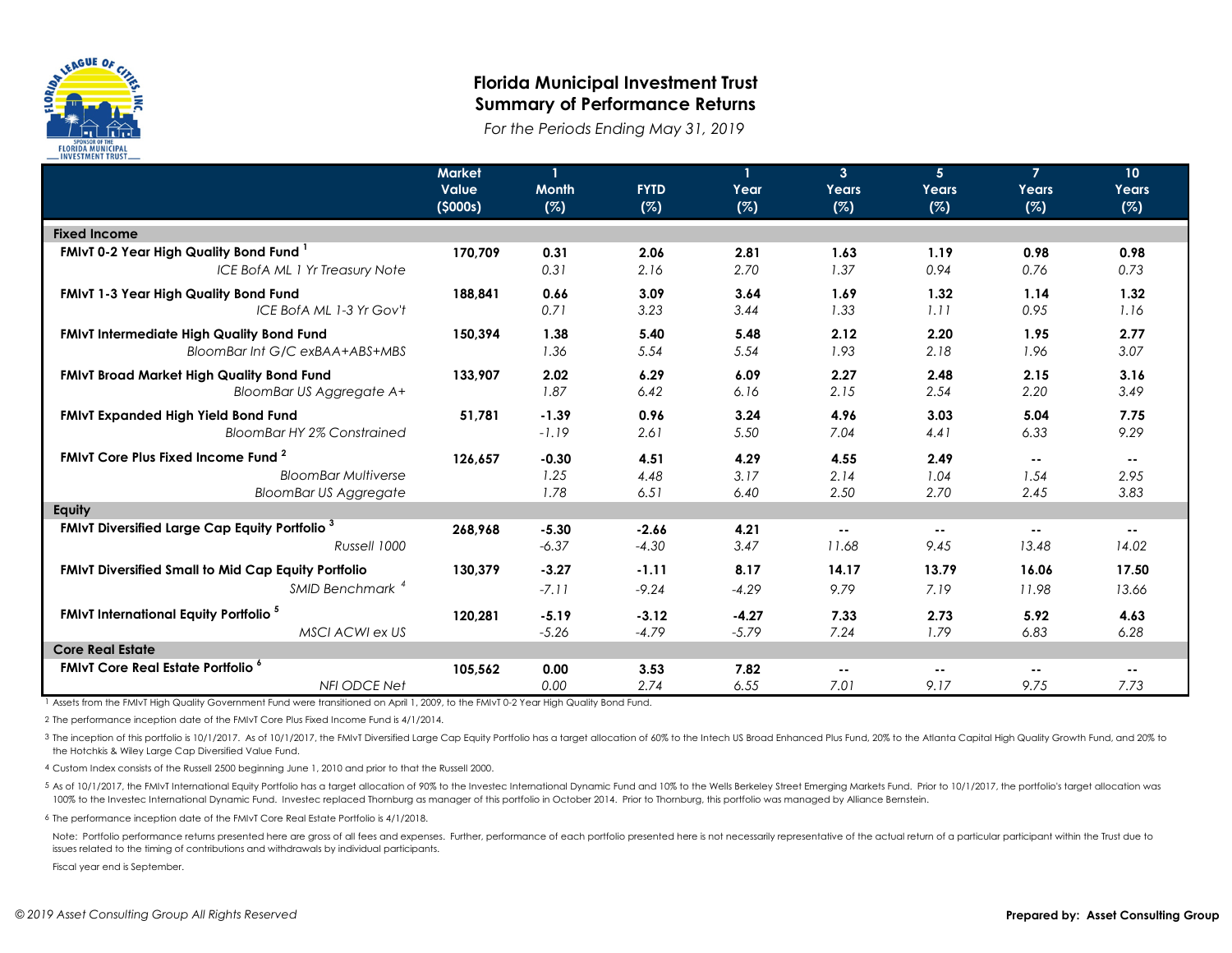

## **Florida Municipal Investment Trust Summary of Performance Returns**

*For the Periods Ending May 31, 2019*

|                                                                  | <b>Market</b><br><b>Value</b><br>(5000s) | <b>Month</b><br>(%) | <b>FYTD</b><br>(%) | $\mathbf{1}$<br>Year<br>(%) | 3 <sup>2</sup><br>Years<br>(%) | 5 <sub>5</sub><br>Years<br>(%) | $\overline{7}$<br>Years<br>(%) | 10 <sup>°</sup><br>Years<br>(%) |
|------------------------------------------------------------------|------------------------------------------|---------------------|--------------------|-----------------------------|--------------------------------|--------------------------------|--------------------------------|---------------------------------|
| <b>Fixed Income</b>                                              |                                          |                     |                    |                             |                                |                                |                                |                                 |
| FMIvT 0-2 Year High Quality Bond Fund <sup>1</sup>               | 170.709                                  | 0.31                | 2.06               | 2.81                        | 1.63                           | 1.19                           | 0.98                           | 0.98                            |
| ICE BofA ML 1 Yr Treasury Note                                   |                                          | 0.31                | 2.16               | 2.70                        | 1.37                           | 0.94                           | 0.76                           | 0.73                            |
| FMIvT 1-3 Year High Quality Bond Fund                            | 188,841                                  | 0.66                | 3.09               | 3.64                        | 1.69                           | 1.32                           | 1.14                           | 1.32                            |
| ICE BofA ML 1-3 Yr Gov't                                         |                                          | 0.71                | 3.23               | 3.44                        | 1.33                           | 1.11                           | 0.95                           | 1.16                            |
| FMIvT Intermediate High Quality Bond Fund                        | 150,394                                  | 1.38                | 5.40               | 5.48                        | 2.12                           | 2.20                           | 1.95                           | 2.77                            |
| BloomBar Int G/C exBAA+ABS+MBS                                   |                                          | 1.36                | 5.54               | 5.54                        | 1.93                           | 2.18                           | 1.96                           | 3.07                            |
| <b>FMIvT Broad Market High Quality Bond Fund</b>                 | 133,907                                  | 2.02                | 6.29               | 6.09                        | 2.27                           | 2.48                           | 2.15                           | 3.16                            |
| BloomBar US Aggregate A+                                         |                                          | 1.87                | 6.42               | 6.16                        | 2.15                           | 2.54                           | 2.20                           | 3.49                            |
| FMIvT Expanded High Yield Bond Fund                              | 51,781                                   | $-1.39$             | 0.96               | 3.24                        | 4.96                           | 3.03                           | 5.04                           | 7.75                            |
| <b>BloomBar HY 2% Constrained</b>                                |                                          | $-1.19$             | 2.61               | 5.50                        | 7.04                           | 4.41                           | 6.33                           | 9.29                            |
| FMIvT Core Plus Fixed Income Fund <sup>2</sup>                   | 126,657                                  | $-0.30$             | 4.51               | 4.29                        | 4.55                           | 2.49                           | $- -$                          | $\sim$ $\sim$                   |
| <b>BloomBar Multiverse</b>                                       |                                          | 1.25                | 4.48               | 3.17                        | 2.14                           | 1.04                           | 1.54                           | 2.95                            |
| <b>BloomBar US Aggregate</b>                                     |                                          | 1.78                | 6.51               | 6.40                        | 2.50                           | 2.70                           | 2.45                           | 3.83                            |
| Equity                                                           |                                          |                     |                    |                             |                                |                                |                                |                                 |
| <b>FMIvT Diversified Large Cap Equity Portfolio</b> <sup>3</sup> | 268,968                                  | $-5.30$             | $-2.66$            | 4.21                        | $\sim$ $\sim$                  | $\sim$ $\sim$                  | $\sim$ $\sim$                  | $\sim$ $\sim$                   |
| Russell 1000                                                     |                                          | $-6.37$             | $-4.30$            | 3.47                        | 11.68                          | 9.45                           | 13.48                          | 14.02                           |
| <b>FMIvT Diversified Small to Mid Cap Equity Portfolio</b>       | 130,379                                  | $-3.27$             | $-1.11$            | 8.17                        | 14.17                          | 13.79                          | 16.06                          | 17.50                           |
| SMID Benchmark <sup>4</sup>                                      |                                          | $-7.11$             | $-9.24$            | $-4.29$                     | 9.79                           | 7.19                           | 11.98                          | 13.66                           |
| <b>FMIvT International Equity Portfolio</b> <sup>5</sup>         | 120,281                                  | $-5.19$             | $-3.12$            | $-4.27$                     | 7.33                           | 2.73                           | 5.92                           | 4.63                            |
| MSCI ACWI ex US                                                  |                                          | $-5.26$             | $-4.79$            | $-5.79$                     | 7.24                           | 1.79                           | 6.83                           | 6.28                            |
| <b>Core Real Estate</b>                                          |                                          |                     |                    |                             |                                |                                |                                |                                 |
| <b>FMIvT Core Real Estate Portfolio</b> <sup>6</sup>             | 105,562                                  | 0.00                | 3.53               | 7.82                        | $\sim$ $\sim$                  | $\sim$ $\sim$                  | $\sim$ $-$                     | $\sim$ $\sim$                   |
| <b>NFI ODCE Net</b>                                              |                                          | 0.00                | 2.74               | 6.55                        | 7.01                           | 9.17                           | 9.75                           | 7.73                            |

1 Assets from the FMIvT High Quality Government Fund were transitioned on April 1, 2009, to the FMIvT 0-2 Year High Quality Bond Fund.

2 The performance inception date of the FMIvT Core Plus Fixed Income Fund is 4/1/2014.

3 The inception of this portfolio is 10/1/2017. As of 10/1/2017, the FMIvT Diversified Large Cap Equity Portfolio has a target allocation of 60% to the Intech US Broad Enhanced Plus Fund, 20% to the Atlanta Capital High Qu the Hotchkis & Wiley Large Cap Diversified Value Fund.

4 Custom Index consists of the Russell 2500 beginning June 1, 2010 and prior to that the Russell 2000.

5 As of 10/1/2017, the FMIvT International Equity Portfolio has a target allocation of 90% to the Investec International Dynamic Fund and 10% to the Wells Berkeley Street Emerging Markets Fund. Prior to 10/1/2017, the port 100% to the Investec International Dynamic Fund. Investec replaced Thornburg as manager of this portfolio in October 2014. Prior to Thornburg, this portfolio was managed by Alliance Bernstein.

6 The performance inception date of the FMIvT Core Real Estate Portfolio is 4/1/2018.

Note: Portfolio performance returns presented here are gross of all fees and expenses. Further, performance of each portfolio presented here is not necessarily representative of the actual return of a particular participan issues related to the timing of contributions and withdrawals by individual participants.

Fiscal year end is September.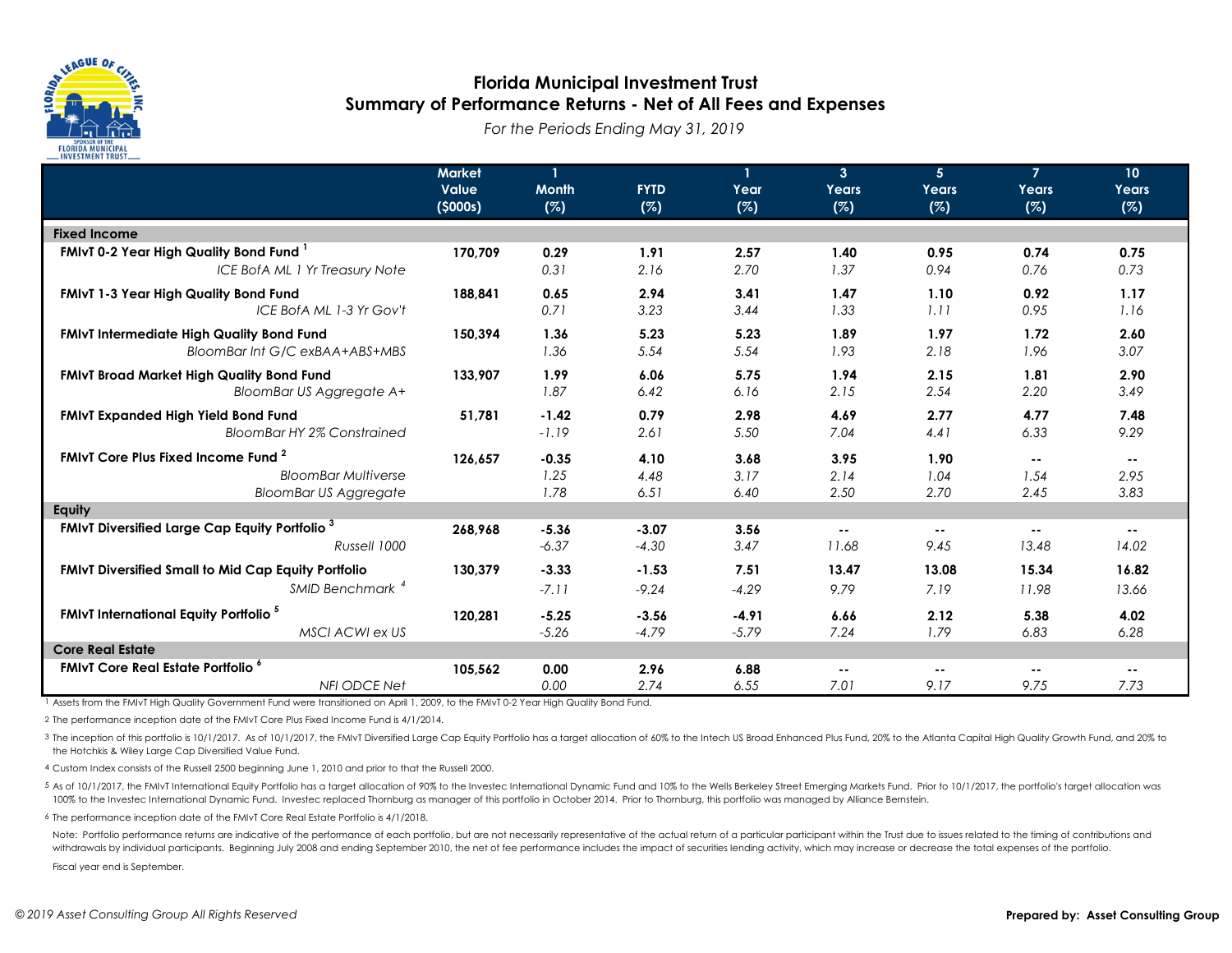

## **Florida Municipal Investment Trust Summary of Performance Returns - Net of All Fees and Expenses**

*For the Periods Ending May 31, 2019*

|                                                                  | <b>Market</b><br><b>Value</b><br>(5000s) | <b>Month</b><br>(%) | <b>FYTD</b><br>(%) | $\mathbf{1}$<br>Year<br>(%) | 3 <sup>2</sup><br>Years<br>(%) | 5 <sub>5</sub><br>Years<br>(%) | $\overline{7}$<br>Years<br>(%) | 10 <sup>°</sup><br>Years<br>(%) |
|------------------------------------------------------------------|------------------------------------------|---------------------|--------------------|-----------------------------|--------------------------------|--------------------------------|--------------------------------|---------------------------------|
| <b>Fixed Income</b>                                              |                                          |                     |                    |                             |                                |                                |                                |                                 |
| FMIvT 0-2 Year High Quality Bond Fund <sup>1</sup>               | 170.709                                  | 0.29                | 1.91               | 2.57                        | 1.40                           | 0.95                           | 0.74                           | 0.75                            |
| ICE BofA ML 1 Yr Treasury Note                                   |                                          | 0.31                | 2.16               | 2.70                        | 1.37                           | 0.94                           | 0.76                           | 0.73                            |
| FMIvT 1-3 Year High Quality Bond Fund                            | 188.841                                  | 0.65                | 2.94               | 3.41                        | 1.47                           | 1.10                           | 0.92                           | 1.17                            |
| ICE BofA ML 1-3 Yr Gov't                                         |                                          | 0.71                | 3.23               | 3.44                        | 1.33                           | 1.11                           | 0.95                           | 1.16                            |
| FMIvT Intermediate High Quality Bond Fund                        | 150,394                                  | 1.36                | 5.23               | 5.23                        | 1.89                           | 1.97                           | 1.72                           | 2.60                            |
| BloomBar Int G/C exBAA+ABS+MBS                                   |                                          | 1.36                | 5.54               | 5.54                        | 1.93                           | 2.18                           | 1.96                           | 3.07                            |
| <b>FMIvT Broad Market High Quality Bond Fund</b>                 | 133,907                                  | 1.99                | 6.06               | 5.75                        | 1.94                           | 2.15                           | 1.81                           | 2.90                            |
| BloomBar US Aggregate A+                                         |                                          | 1.87                | 6.42               | 6.16                        | 2.15                           | 2.54                           | 2.20                           | 3.49                            |
| FMIvT Expanded High Yield Bond Fund                              | 51,781                                   | $-1.42$             | 0.79               | 2.98                        | 4.69                           | 2.77                           | 4.77                           | 7.48                            |
| <b>BloomBar HY 2% Constrained</b>                                |                                          | $-1.19$             | 2.61               | 5.50                        | 7.04                           | 4.41                           | 6.33                           | 9.29                            |
| FMIvT Core Plus Fixed Income Fund <sup>2</sup>                   | 126,657                                  | $-0.35$             | 4.10               | 3.68                        | 3.95                           | 1.90                           | $- -$                          | $\sim$ $\sim$                   |
| <b>BloomBar Multiverse</b>                                       |                                          | 1.25                | 4.48               | 3.17                        | 2.14                           | 1.04                           | 1.54                           | 2.95                            |
| <b>BloomBar US Aggregate</b>                                     |                                          | 1.78                | 6.51               | 6.40                        | 2.50                           | 2.70                           | 2.45                           | 3.83                            |
| Equity                                                           |                                          |                     |                    |                             |                                |                                |                                |                                 |
| <b>FMIvT Diversified Large Cap Equity Portfolio</b> <sup>3</sup> | 268,968                                  | $-5.36$             | $-3.07$            | 3.56                        | $\sim$ $\sim$                  | $\sim$ $\sim$                  | $\sim$ $\sim$                  | $\sim$ $\sim$                   |
| Russell 1000                                                     |                                          | $-6.37$             | $-4.30$            | 3.47                        | 11.68                          | 9.45                           | 13.48                          | 14.02                           |
| <b>FMIvT Diversified Small to Mid Cap Equity Portfolio</b>       | 130,379                                  | $-3.33$             | $-1.53$            | 7.51                        | 13.47                          | 13.08                          | 15.34                          | 16.82                           |
| SMID Benchmark <sup>4</sup>                                      |                                          | $-7.11$             | $-9.24$            | $-4.29$                     | 9.79                           | 7.19                           | 11.98                          | 13.66                           |
| <b>FMIvT International Equity Portfolio</b> <sup>5</sup>         | 120,281                                  | $-5.25$             | $-3.56$            | $-4.91$                     | 6.66                           | 2.12                           | 5.38                           | 4.02                            |
| MSCI ACWI ex US                                                  |                                          | $-5.26$             | $-4.79$            | $-5.79$                     | 7.24                           | 1.79                           | 6.83                           | 6.28                            |
| <b>Core Real Estate</b>                                          |                                          |                     |                    |                             |                                |                                |                                |                                 |
| <b>FMIvT Core Real Estate Portfolio</b> <sup>6</sup>             | 105,562                                  | 0.00                | 2.96               | 6.88                        | $\sim$ $\sim$                  | $\sim$ $\sim$                  | $\sim$ $-$                     | $\sim$ $\sim$                   |
| <b>NFI ODCE Net</b>                                              |                                          | 0.00                | 2.74               | 6.55                        | 7.01                           | 9.17                           | 9.75                           | 7.73                            |

1 Assets from the FMIvT High Quality Government Fund were transitioned on April 1, 2009, to the FMIvT 0-2 Year High Quality Bond Fund.

2 The performance inception date of the FMIvT Core Plus Fixed Income Fund is 4/1/2014.

3 The inception of this portfolio is 10/1/2017. As of 10/1/2017, the FMIvT Diversified Large Cap Equity Portfolio has a target allocation of 60% to the Intech US Broad Enhanced Plus Fund, 20% to the Atlanta Capital High Qu the Hotchkis & Wiley Large Cap Diversified Value Fund.

4 Custom Index consists of the Russell 2500 beginning June 1, 2010 and prior to that the Russell 2000.

5 As of 10/1/2017, the FMIvT International Equity Portfolio has a target allocation of 90% to the Investec International Dynamic Fund and 10% to the Wells Berkeley Street Emerging Markets Fund. Prior to 10/1/2017, the port 100% to the Investec International Dynamic Fund. Investec replaced Thornburg as manager of this portfolio in October 2014. Prior to Thornburg, this portfolio was managed by Alliance Bernstein.

6 The performance inception date of the FMIvT Core Real Estate Portfolio is 4/1/2018.

Note: Portfolio performance returns are indicative of the performance of each portfolio, but are not necessarily representative of the actual return of a particular participant within the Trust due to issues related to the withdrawals by individual participants. Beginning July 2008 and ending September 2010, the net of fee performance includes the impact of securities lending activity, which may increase or decrease the total expenses of the

Fiscal year end is September.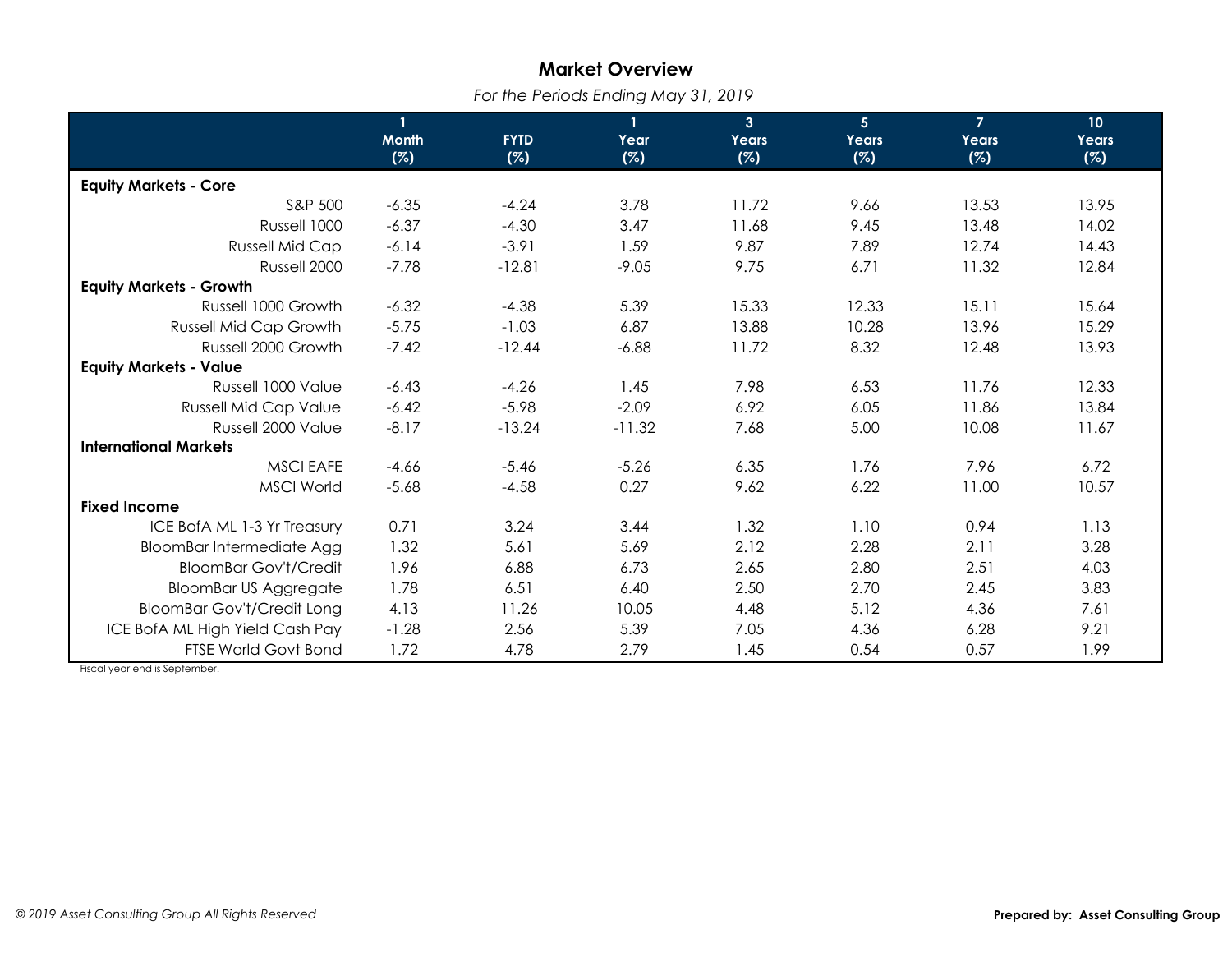## **Market Overview**

*For the Periods Ending May 31, 2019*

|                                   | $\mathbf{1}$ |             | $\mathbf{1}$ | 3 <sup>1</sup> | 5 <sup>1</sup> | $\overline{7}$ | 10 <sup>°</sup> |
|-----------------------------------|--------------|-------------|--------------|----------------|----------------|----------------|-----------------|
|                                   | <b>Month</b> | <b>FYTD</b> | Year         | Years          | Years          | Years          | Years           |
|                                   | (%)          | (%)         | (%)          | (%)            | (%)            | (%)            | (%)             |
| <b>Equity Markets - Core</b>      |              |             |              |                |                |                |                 |
| S&P 500                           | $-6.35$      | $-4.24$     | 3.78         | 11.72          | 9.66           | 13.53          | 13.95           |
| Russell 1000                      | $-6.37$      | $-4.30$     | 3.47         | 11.68          | 9.45           | 13.48          | 14.02           |
| <b>Russell Mid Cap</b>            | $-6.14$      | $-3.91$     | 1.59         | 9.87           | 7.89           | 12.74          | 14.43           |
| Russell 2000                      | $-7.78$      | $-12.81$    | $-9.05$      | 9.75           | 6.71           | 11.32          | 12.84           |
| <b>Equity Markets - Growth</b>    |              |             |              |                |                |                |                 |
| Russell 1000 Growth               | $-6.32$      | $-4.38$     | 5.39         | 15.33          | 12.33          | 15.11          | 15.64           |
| <b>Russell Mid Cap Growth</b>     | $-5.75$      | $-1.03$     | 6.87         | 13.88          | 10.28          | 13.96          | 15.29           |
| Russell 2000 Growth               | $-7.42$      | $-12.44$    | $-6.88$      | 11.72          | 8.32           | 12.48          | 13.93           |
| <b>Equity Markets - Value</b>     |              |             |              |                |                |                |                 |
| Russell 1000 Value                | $-6.43$      | $-4.26$     | 1.45         | 7.98           | 6.53           | 11.76          | 12.33           |
| <b>Russell Mid Cap Value</b>      | $-6.42$      | $-5.98$     | $-2.09$      | 6.92           | 6.05           | 11.86          | 13.84           |
| Russell 2000 Value                | $-8.17$      | $-13.24$    | $-11.32$     | 7.68           | 5.00           | 10.08          | 11.67           |
| <b>International Markets</b>      |              |             |              |                |                |                |                 |
| <b>MSCI EAFE</b>                  | $-4.66$      | $-5.46$     | $-5.26$      | 6.35           | 1.76           | 7.96           | 6.72            |
| <b>MSCI World</b>                 | $-5.68$      | $-4.58$     | 0.27         | 9.62           | 6.22           | 11.00          | 10.57           |
| <b>Fixed Income</b>               |              |             |              |                |                |                |                 |
| ICE BofA ML 1-3 Yr Treasury       | 0.71         | 3.24        | 3.44         | 1.32           | 1.10           | 0.94           | 1.13            |
| <b>BloomBar Intermediate Agg</b>  | 1.32         | 5.61        | 5.69         | 2.12           | 2.28           | 2.11           | 3.28            |
| <b>BloomBar Gov't/Credit</b>      | 1.96         | 6.88        | 6.73         | 2.65           | 2.80           | 2.51           | 4.03            |
| <b>BloomBar US Aggregate</b>      | 1.78         | 6.51        | 6.40         | 2.50           | 2.70           | 2.45           | 3.83            |
| <b>BloomBar Gov't/Credit Long</b> | 4.13         | 11.26       | 10.05        | 4.48           | 5.12           | 4.36           | 7.61            |
| ICE BofA ML High Yield Cash Pay   | $-1.28$      | 2.56        | 5.39         | 7.05           | 4.36           | 6.28           | 9.21            |
| <b>FTSE World Govt Bond</b>       | 1.72         | 4.78        | 2.79         | 1.45           | 0.54           | 0.57           | 1.99            |

Fiscal year end is September.